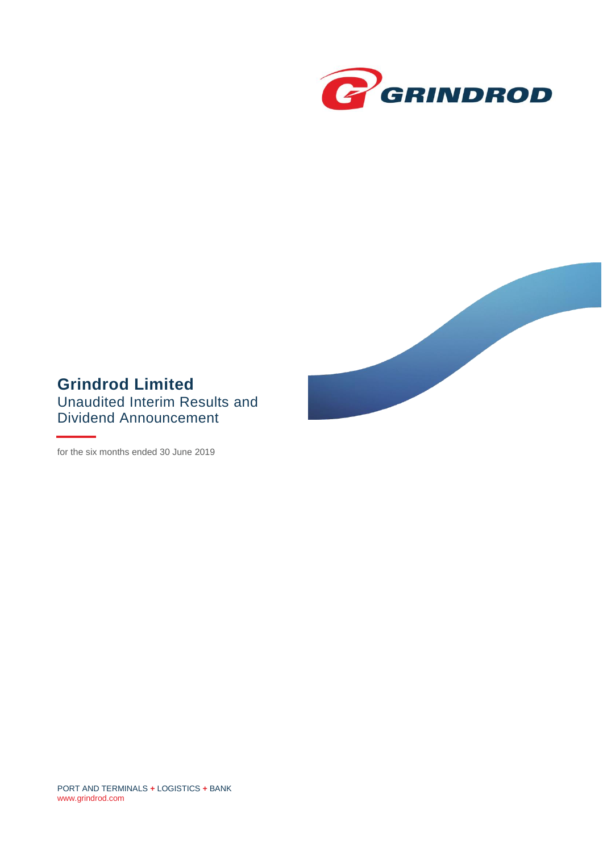



# **Grindrod Limited** Unaudited Interim Results and Dividend Announcement

for the six months ended 30 June 2019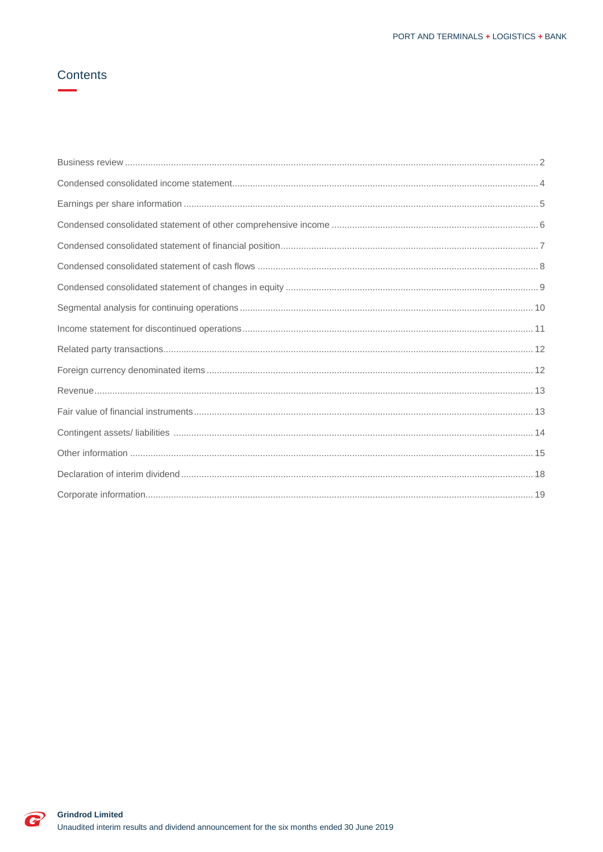# Contents

C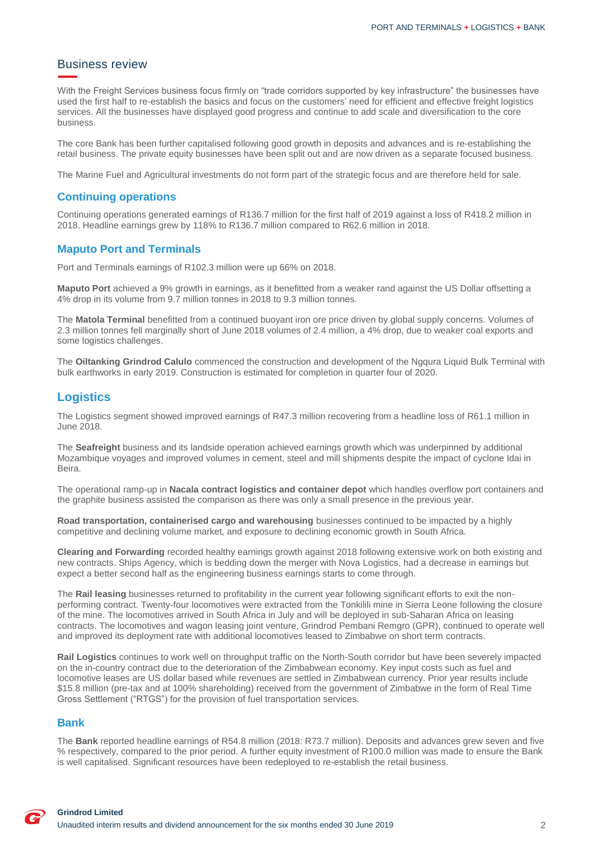### <span id="page-2-0"></span>Business review

With the Freight Services business focus firmly on "trade corridors supported by key infrastructure" the businesses have used the first half to re-establish the basics and focus on the customers' need for efficient and effective freight logistics services. All the businesses have displayed good progress and continue to add scale and diversification to the core business.

The core Bank has been further capitalised following good growth in deposits and advances and is re-establishing the retail business. The private equity businesses have been split out and are now driven as a separate focused business.

The Marine Fuel and Agricultural investments do not form part of the strategic focus and are therefore held for sale.

#### **Continuing operations**

Continuing operations generated earnings of R136.7 million for the first half of 2019 against a loss of R418.2 million in 2018. Headline earnings grew by 118% to R136.7 million compared to R62.6 million in 2018.

#### **Maputo Port and Terminals**

Port and Terminals earnings of R102.3 million were up 66% on 2018.

**Maputo Port** achieved a 9% growth in earnings, as it benefitted from a weaker rand against the US Dollar offsetting a 4% drop in its volume from 9.7 million tonnes in 2018 to 9.3 million tonnes.

The **Matola Terminal** benefitted from a continued buoyant iron ore price driven by global supply concerns. Volumes of 2.3 million tonnes fell marginally short of June 2018 volumes of 2.4 million, a 4% drop, due to weaker coal exports and some logistics challenges.

The **Oiltanking Grindrod Calulo** commenced the construction and development of the Ngqura Liquid Bulk Terminal with bulk earthworks in early 2019. Construction is estimated for completion in quarter four of 2020.

### **Logistics**

The Logistics segment showed improved earnings of R47.3 million recovering from a headline loss of R61.1 million in June 2018.

The **Seafreight** business and its landside operation achieved earnings growth which was underpinned by additional Mozambique voyages and improved volumes in cement, steel and mill shipments despite the impact of cyclone Idai in Beira.

The operational ramp-up in **Nacala contract logistics and container depot** which handles overflow port containers and the graphite business assisted the comparison as there was only a small presence in the previous year.

**Road transportation, containerised cargo and warehousing** businesses continued to be impacted by a highly competitive and declining volume market, and exposure to declining economic growth in South Africa.

**Clearing and Forwarding** recorded healthy earnings growth against 2018 following extensive work on both existing and new contracts. Ships Agency, which is bedding down the merger with Nova Logistics, had a decrease in earnings but expect a better second half as the engineering business earnings starts to come through.

The **Rail leasing** businesses returned to profitability in the current year following significant efforts to exit the nonperforming contract. Twenty-four locomotives were extracted from the Tonkilili mine in Sierra Leone following the closure of the mine. The locomotives arrived in South Africa in July and will be deployed in sub-Saharan Africa on leasing contracts. The locomotives and wagon leasing joint venture, Grindrod Pembani Remgro (GPR), continued to operate well and improved its deployment rate with additional locomotives leased to Zimbabwe on short term contracts.

**Rail Logistics** continues to work well on throughput traffic on the North-South corridor but have been severely impacted on the in-country contract due to the deterioration of the Zimbabwean economy. Key input costs such as fuel and locomotive leases are US dollar based while revenues are settled in Zimbabwean currency. Prior year results include \$15.8 million (pre-tax and at 100% shareholding) received from the government of Zimbabwe in the form of Real Time Gross Settlement ("RTGS") for the provision of fuel transportation services.

#### **Bank**

The **Bank** reported headline earnings of R54.8 million (2018: R73.7 million). Deposits and advances grew seven and five % respectively, compared to the prior period. A further equity investment of R100.0 million was made to ensure the Bank is well capitalised. Significant resources have been redeployed to re-establish the retail business.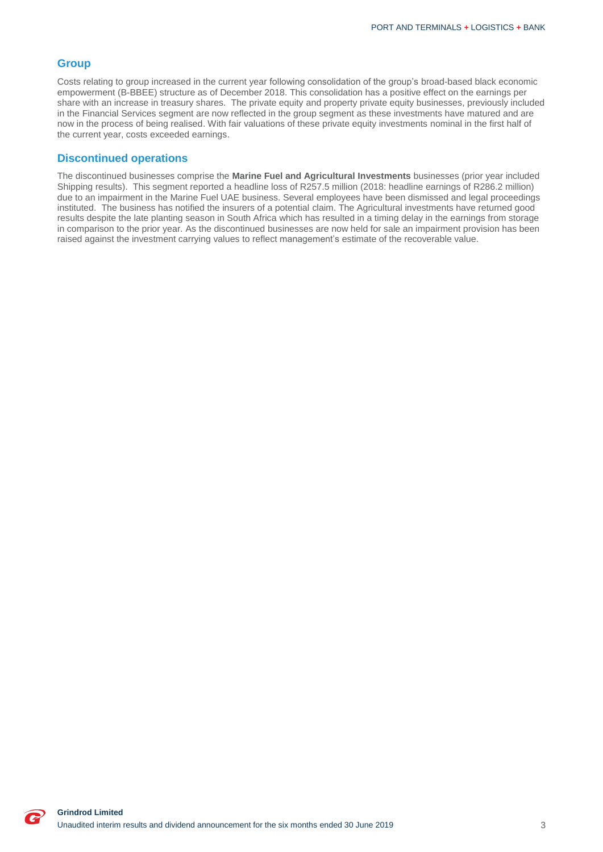### **Group**

Costs relating to group increased in the current year following consolidation of the group's broad-based black economic empowerment (B-BBEE) structure as of December 2018. This consolidation has a positive effect on the earnings per share with an increase in treasury shares. The private equity and property private equity businesses, previously included in the Financial Services segment are now reflected in the group segment as these investments have matured and are now in the process of being realised. With fair valuations of these private equity investments nominal in the first half of the current year, costs exceeded earnings.

#### **Discontinued operations**

The discontinued businesses comprise the **Marine Fuel and Agricultural Investments** businesses (prior year included Shipping results). This segment reported a headline loss of R257.5 million (2018: headline earnings of R286.2 million) due to an impairment in the Marine Fuel UAE business. Several employees have been dismissed and legal proceedings instituted. The business has notified the insurers of a potential claim. The Agricultural investments have returned good results despite the late planting season in South Africa which has resulted in a timing delay in the earnings from storage in comparison to the prior year. As the discontinued businesses are now held for sale an impairment provision has been raised against the investment carrying values to reflect management's estimate of the recoverable value.

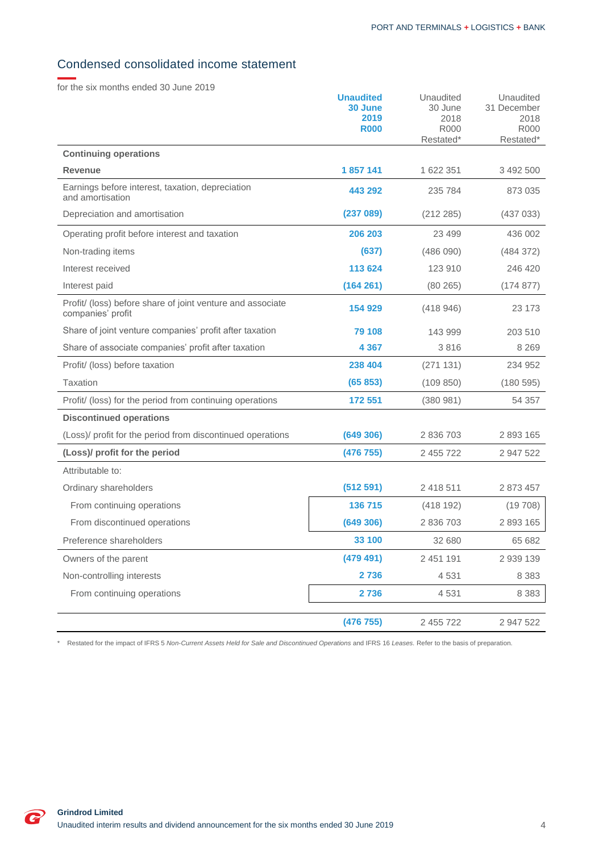# <span id="page-4-0"></span>Condensed consolidated income statement

for the six months ended 30 June 2019

| <b>R000</b><br><b>R000</b><br><b>R000</b><br>Restated*<br>Restated*<br><b>Continuing operations</b><br>1857141<br>1 622 351<br><b>Revenue</b><br>3 492 500<br>Earnings before interest, taxation, depreciation<br>443 292<br>235 784<br>873 035 |
|-------------------------------------------------------------------------------------------------------------------------------------------------------------------------------------------------------------------------------------------------|
|                                                                                                                                                                                                                                                 |
|                                                                                                                                                                                                                                                 |
|                                                                                                                                                                                                                                                 |
| and amortisation                                                                                                                                                                                                                                |
| (237089)<br>Depreciation and amortisation<br>(212 285)<br>(437033)                                                                                                                                                                              |
| 206 203<br>23 4 9 9<br>436 002<br>Operating profit before interest and taxation                                                                                                                                                                 |
| (637)<br>(486090)<br>Non-trading items<br>(484 372)                                                                                                                                                                                             |
| Interest received<br>113 624<br>123 910<br>246 420                                                                                                                                                                                              |
| Interest paid<br>(164 261)<br>(80265)<br>(174877)                                                                                                                                                                                               |
| Profit/ (loss) before share of joint venture and associate<br>154 929<br>(418946)<br>23 173<br>companies' profit                                                                                                                                |
| Share of joint venture companies' profit after taxation<br>79 108<br>143 999<br>203 510                                                                                                                                                         |
| 4 3 6 7<br>3816<br>8 2 6 9<br>Share of associate companies' profit after taxation                                                                                                                                                               |
| 238 404<br>Profit/ (loss) before taxation<br>(271131)<br>234 952                                                                                                                                                                                |
| (65 853)<br><b>Taxation</b><br>(109 850)<br>(180595)                                                                                                                                                                                            |
| 172 551<br>Profit/ (loss) for the period from continuing operations<br>(380981)<br>54 357                                                                                                                                                       |
| <b>Discontinued operations</b>                                                                                                                                                                                                                  |
| (649 306)<br>(Loss)/ profit for the period from discontinued operations<br>2 836 703<br>2 893 165                                                                                                                                               |
| (Loss)/ profit for the period<br>(476 755)<br>2 455 722<br>2 947 522                                                                                                                                                                            |
| Attributable to:                                                                                                                                                                                                                                |
| 2 418 511<br>2 873 457<br>Ordinary shareholders<br>(512 591)                                                                                                                                                                                    |
| 136 715<br>(418192)<br>From continuing operations<br>(19708)                                                                                                                                                                                    |
| 2 836 703<br>2 893 165<br>From discontinued operations<br>(649 306)                                                                                                                                                                             |
| Preference shareholders<br>33 100<br>32 680<br>65 682                                                                                                                                                                                           |
| Owners of the parent<br>(479 491)<br>2 451 191<br>2 939 139                                                                                                                                                                                     |
| Non-controlling interests<br>2 7 3 6<br>4531<br>8 3 8 3                                                                                                                                                                                         |
| 2736<br>From continuing operations<br>4531<br>8 3 8 3                                                                                                                                                                                           |
| (476 755)<br>2 455 722<br>2 947 522                                                                                                                                                                                                             |

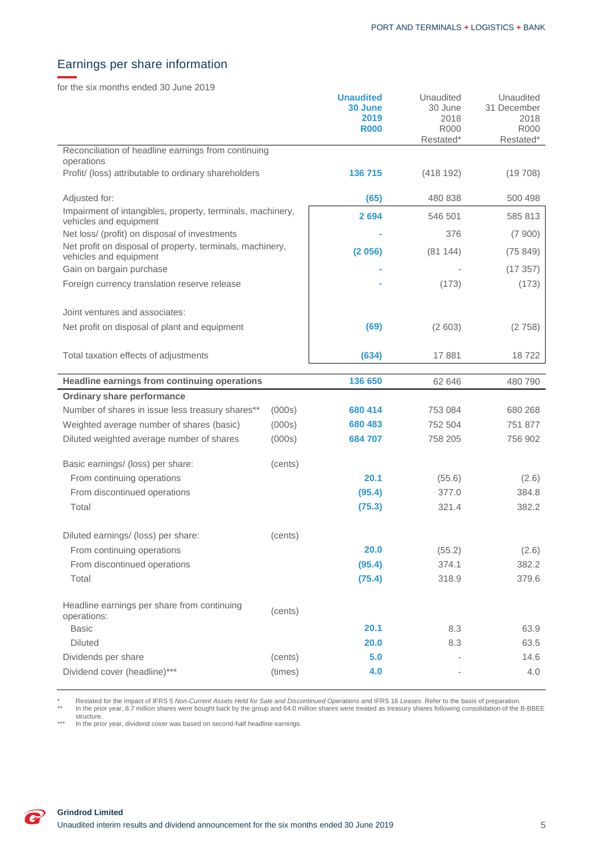# <span id="page-5-0"></span>Earnings per share information

for the six months ended 30 June 2019

|                                                                                      |         | <b>Unaudited</b><br>30 June<br>2019<br><b>R000</b> | Unaudited<br>30 June<br>2018<br>R000<br>Restated* | Unaudited<br>31 December<br>2018<br><b>R000</b><br>Restated* |
|--------------------------------------------------------------------------------------|---------|----------------------------------------------------|---------------------------------------------------|--------------------------------------------------------------|
| Reconciliation of headline earnings from continuing<br>operations                    |         |                                                    |                                                   |                                                              |
| Profit/ (loss) attributable to ordinary shareholders                                 |         | 136 715                                            | (418192)                                          | (19708)                                                      |
| Adjusted for:                                                                        |         | (65)                                               | 480 838                                           | 500 498                                                      |
| Impairment of intangibles, property, terminals, machinery,<br>vehicles and equipment |         | 2694                                               | 546 501                                           | 585 813                                                      |
| Net loss/ (profit) on disposal of investments                                        |         |                                                    | 376                                               | (7900)                                                       |
| Net profit on disposal of property, terminals, machinery,<br>vehicles and equipment  |         | (2056)                                             | (81144)                                           | (75849)                                                      |
| Gain on bargain purchase                                                             |         |                                                    |                                                   | (17357)                                                      |
| Foreign currency translation reserve release                                         |         |                                                    | (173)                                             | (173)                                                        |
| Joint ventures and associates:                                                       |         |                                                    |                                                   |                                                              |
| Net profit on disposal of plant and equipment                                        |         | (69)                                               | (2603)                                            | (2758)                                                       |
| Total taxation effects of adjustments                                                |         | (634)                                              | 17881                                             | 18722                                                        |
|                                                                                      |         |                                                    |                                                   |                                                              |
| Headline earnings from continuing operations                                         |         | 136 650                                            | 62 646                                            | 480 790                                                      |
| <b>Ordinary share performance</b>                                                    |         |                                                    |                                                   |                                                              |
| Number of shares in issue less treasury shares**                                     | (000s)  | 680 414                                            | 753 084                                           | 680 268                                                      |
| Weighted average number of shares (basic)                                            | (000s)  | 680 483                                            | 752 504                                           | 751 877                                                      |
| Diluted weighted average number of shares                                            | (000s)  | 684 707                                            | 758 205                                           | 756 902                                                      |
| Basic earnings/ (loss) per share:                                                    | (cents) |                                                    |                                                   |                                                              |
| From continuing operations                                                           |         | 20.1                                               | (55.6)                                            | (2.6)                                                        |
| From discontinued operations                                                         |         | (95.4)                                             | 377.0                                             | 384.8                                                        |
| Total                                                                                |         | (75.3)                                             | 321.4                                             | 382.2                                                        |
| Diluted earnings/ (loss) per share:                                                  | (cents) |                                                    |                                                   |                                                              |
| From continuing operations                                                           |         | 20.0                                               | (55.2)                                            | (2.6)                                                        |
| From discontinued operations                                                         |         | (95.4)                                             | 374.1                                             | 382.2                                                        |
| Total                                                                                |         | (75.4)                                             | 318.9                                             | 379.6                                                        |
| Headline earnings per share from continuing<br>operations:                           | (cents) |                                                    |                                                   |                                                              |
| <b>Basic</b>                                                                         |         | 20.1                                               | 8.3                                               | 63.9                                                         |
| <b>Diluted</b>                                                                       |         | 20.0                                               | 8.3                                               | 63.5                                                         |
| Dividends per share                                                                  | (cents) | 5.0                                                |                                                   | 14.6                                                         |
| Dividend cover (headline)***                                                         | (times) | 4.0                                                |                                                   | 4.0                                                          |

\* Restated for the impact of IFRS 5 *Non-Current Assets Held for Sale and Discontinued Operations* and IFRS 16 *Leases*. Refer to the basis of preparation.<br>\*\* In the prior year, 8.7 million shares were bought back by the g

\*\*\* In the prior year, dividend cover was based on second-half headline earnings.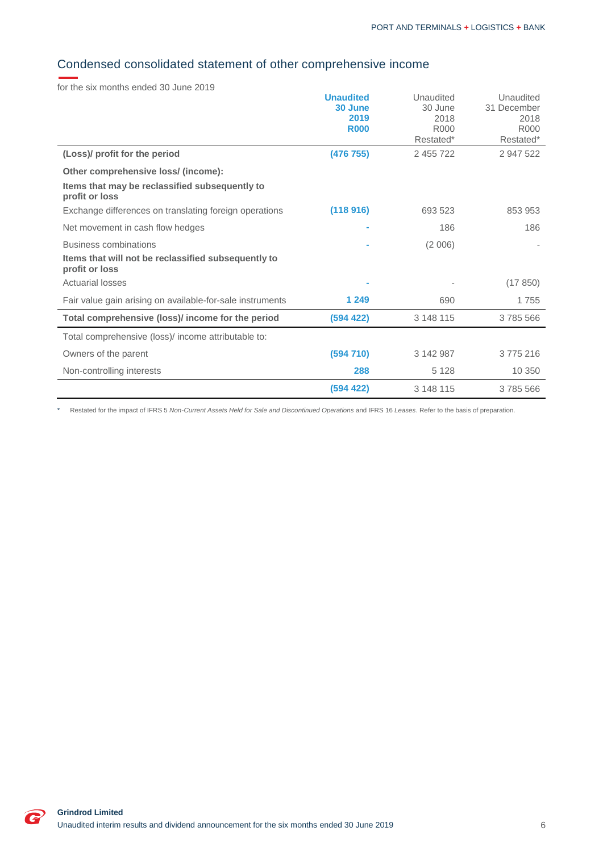# <span id="page-6-0"></span>Condensed consolidated statement of other comprehensive income

for the six months ended 30 June 2019

|                                                                       | <b>Unaudited</b><br>30 June<br>2019<br><b>R000</b> | Unaudited<br>30 June<br>2018<br>R <sub>000</sub><br>Restated* | Unaudited<br>31 December<br>2018<br>R000<br>Restated* |
|-----------------------------------------------------------------------|----------------------------------------------------|---------------------------------------------------------------|-------------------------------------------------------|
| (Loss)/ profit for the period                                         | (476 755)                                          | 2 455 722                                                     | 2 947 522                                             |
| Other comprehensive loss/ (income):                                   |                                                    |                                                               |                                                       |
| Items that may be reclassified subsequently to<br>profit or loss      |                                                    |                                                               |                                                       |
| Exchange differences on translating foreign operations                | (118916)                                           | 693 523                                                       | 853 953                                               |
| Net movement in cash flow hedges                                      |                                                    | 186                                                           | 186                                                   |
| <b>Business combinations</b>                                          |                                                    | (2006)                                                        |                                                       |
| Items that will not be reclassified subsequently to<br>profit or loss |                                                    |                                                               |                                                       |
| <b>Actuarial losses</b>                                               |                                                    |                                                               | (17850)                                               |
| Fair value gain arising on available-for-sale instruments             | 1 2 4 9                                            | 690                                                           | 1755                                                  |
| Total comprehensive (loss)/ income for the period                     | (594 422)                                          | 3 148 115                                                     | 3785566                                               |
| Total comprehensive (loss)/ income attributable to:                   |                                                    |                                                               |                                                       |
| Owners of the parent                                                  | (594710)                                           | 3 142 987                                                     | 3775216                                               |
| Non-controlling interests                                             | 288                                                | 5 1 2 8                                                       | 10 350                                                |
|                                                                       | (594 422)                                          | 3 148 115                                                     | 3785566                                               |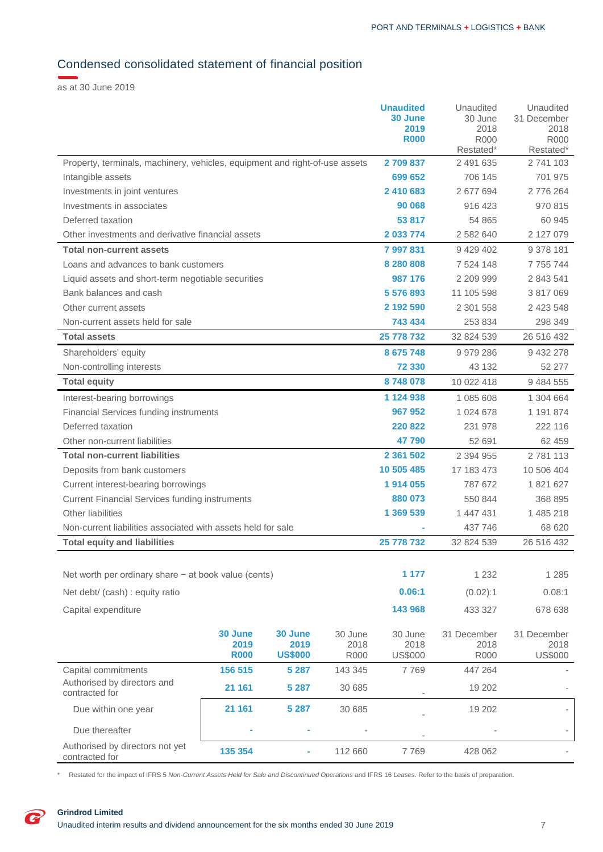# <span id="page-7-0"></span>Condensed consolidated statement of financial position

as at 30 June 2019

|                                                                             |             |                |             | <b>Unaudited</b> | Unaudited       | Unaudited           |
|-----------------------------------------------------------------------------|-------------|----------------|-------------|------------------|-----------------|---------------------|
|                                                                             |             |                |             | 30 June<br>2019  | 30 June<br>2018 | 31 December<br>2018 |
|                                                                             |             |                |             | <b>R000</b>      | R000            | R000                |
|                                                                             |             |                |             |                  | Restated*       | Restated*           |
| Property, terminals, machinery, vehicles, equipment and right-of-use assets |             |                |             | 2709837          | 2 491 635       | 2 741 103           |
| Intangible assets                                                           |             |                |             | 699 652          | 706 145         | 701 975             |
| Investments in joint ventures                                               |             |                |             | 2 410 683        | 2 677 694       | 2776264             |
| Investments in associates                                                   |             |                |             | 90 068           | 916 423         | 970 815             |
| Deferred taxation                                                           |             |                |             | 53 817           | 54 865          | 60 945              |
| Other investments and derivative financial assets                           |             |                |             | 2 033 774        | 2 582 640       | 2 127 079           |
| <b>Total non-current assets</b>                                             |             |                |             | 7997831          | 9 4 2 9 4 0 2   | 9 378 181           |
| Loans and advances to bank customers                                        |             |                |             | 8 280 808        | 7 524 148       | 7 7 5 7 7 4 4       |
| Liquid assets and short-term negotiable securities                          |             |                |             | 987 176          | 2 209 999       | 2 843 541           |
| Bank balances and cash                                                      |             |                |             | 5 576 893        | 11 105 598      | 3 817 069           |
| Other current assets                                                        |             |                |             | 2 192 590        | 2 301 558       | 2 423 548           |
| Non-current assets held for sale                                            |             |                |             | 743 434          | 253 834         | 298 349             |
| <b>Total assets</b>                                                         |             |                |             | 25 778 732       | 32 824 539      | 26 516 432          |
| Shareholders' equity                                                        |             |                |             | 8 675 748        | 9979286         | 9 432 278           |
| Non-controlling interests                                                   |             |                |             | 72 330           | 43 132          | 52 277              |
| <b>Total equity</b>                                                         |             |                |             | 8748078          | 10 022 418      | 9 484 555           |
| Interest-bearing borrowings                                                 |             |                |             | 1 124 938        | 1 085 608       | 1 304 664           |
| <b>Financial Services funding instruments</b>                               |             |                |             | 967 952          | 1 024 678       | 1 191 874           |
| Deferred taxation                                                           |             |                |             | 220822           | 231 978         | 222 116             |
| Other non-current liabilities                                               |             |                |             | 47 790           | 52 691          | 62 459              |
| <b>Total non-current liabilities</b>                                        |             |                |             | 2 361 502        | 2 3 9 4 9 5 5   | 2781113             |
| Deposits from bank customers                                                |             |                |             | 10 505 485       | 17 183 473      | 10 506 404          |
| Current interest-bearing borrowings                                         |             |                | 1914 055    | 787 672          | 1821627         |                     |
| <b>Current Financial Services funding instruments</b>                       |             |                | 880 073     | 550 844          | 368 895         |                     |
| Other liabilities                                                           |             |                | 1 369 539   | 1 447 431        | 1 485 218       |                     |
| Non-current liabilities associated with assets held for sale                |             |                |             |                  | 437 746         | 68 620              |
| <b>Total equity and liabilities</b>                                         |             |                |             | 25 778 732       | 32 824 539      | 26 516 432          |
|                                                                             |             |                |             |                  |                 |                     |
| Net worth per ordinary share $-$ at book value (cents)                      |             |                |             | 1 177            | 1 2 3 2         | 1 2 8 5             |
| Net debt/ (cash) : equity ratio                                             |             |                |             | 0.06:1           | (0.02):1        | 0.08:1              |
| Capital expenditure                                                         |             |                |             | 143 968          | 433 327         | 678 638             |
|                                                                             |             |                |             |                  |                 |                     |
|                                                                             | 30 June     | 30 June        | 30 June     | 30 June          | 31 December     | 31 December         |
|                                                                             | 2019        | 2019           | 2018        | 2018             | 2018            | 2018                |
|                                                                             | <b>R000</b> | <b>US\$000</b> | <b>R000</b> | <b>US\$000</b>   | <b>R000</b>     | <b>US\$000</b>      |
| Capital commitments                                                         | 156 515     | 5 2 8 7        | 143 345     | 7769             | 447 264         |                     |
| Authorised by directors and<br>contracted for                               | 21 161      | 5 2 8 7        | 30 685      |                  | 19 20 2         |                     |
| Due within one year                                                         | 21 161      | 5 2 8 7        | 30 685      |                  | 19 20 2         |                     |
| Due thereafter                                                              |             |                |             |                  |                 |                     |
| Authorised by directors not yet<br>contracted for                           | 135 354     |                | 112 660     | 7769             | 428 062         |                     |
|                                                                             |             |                |             |                  |                 |                     |

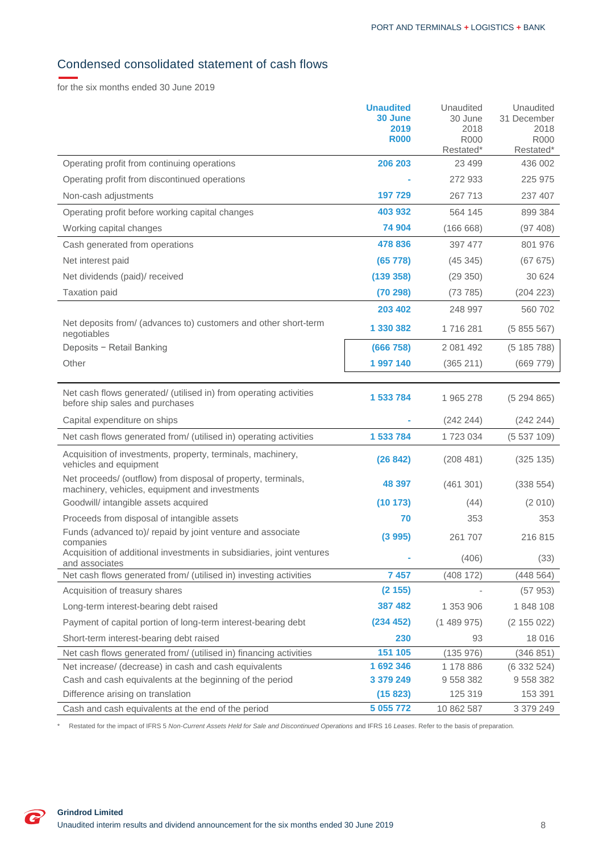# <span id="page-8-0"></span>Condensed consolidated statement of cash flows

for the six months ended 30 June 2019

|                                                                                                                 | <b>Unaudited</b><br>30 June<br>2019<br><b>R000</b> | Unaudited<br>30 June<br>2018<br><b>R000</b><br>Restated* | Unaudited<br>31 December<br>2018<br><b>R000</b><br>Restated* |
|-----------------------------------------------------------------------------------------------------------------|----------------------------------------------------|----------------------------------------------------------|--------------------------------------------------------------|
| Operating profit from continuing operations                                                                     | 206 203                                            | 23 4 9 9                                                 | 436 002                                                      |
| Operating profit from discontinued operations                                                                   |                                                    | 272 933                                                  | 225 975                                                      |
| Non-cash adjustments                                                                                            | 197 729                                            | 267 713                                                  | 237 407                                                      |
| Operating profit before working capital changes                                                                 | 403 932                                            | 564 145                                                  | 899 384                                                      |
| Working capital changes                                                                                         | 74 904                                             | (166668)                                                 | (97 408)                                                     |
| Cash generated from operations                                                                                  | 478 836                                            | 397 477                                                  | 801 976                                                      |
| Net interest paid                                                                                               | (65 778)                                           | (45345)                                                  | (67 675)                                                     |
| Net dividends (paid)/ received                                                                                  | (139 358)                                          | (29 350)                                                 | 30 624                                                       |
| <b>Taxation paid</b>                                                                                            | (70 298)                                           | (73785)                                                  | (204 223)                                                    |
|                                                                                                                 | 203 402                                            | 248 997                                                  | 560 702                                                      |
| Net deposits from/ (advances to) customers and other short-term<br>negotiables                                  | 1 330 382                                          | 1716281                                                  | (5855567)                                                    |
| Deposits - Retail Banking                                                                                       | (666 758)                                          | 2 081 492                                                | (5185788)                                                    |
| Other                                                                                                           | 1997140                                            | (365 211)                                                | (669 779)                                                    |
| Net cash flows generated/ (utilised in) from operating activities<br>before ship sales and purchases            | 1 533 784                                          | 1965278                                                  | (5294865)                                                    |
| Capital expenditure on ships                                                                                    |                                                    | (242 244)                                                | (242 244)                                                    |
| Net cash flows generated from/ (utilised in) operating activities                                               | 1 533 784                                          | 1723034                                                  | (5537109)                                                    |
| Acquisition of investments, property, terminals, machinery,<br>vehicles and equipment                           | (26842)                                            | (208481)                                                 | (325 135)                                                    |
| Net proceeds/ (outflow) from disposal of property, terminals,<br>machinery, vehicles, equipment and investments | 48 397                                             | (461301)                                                 | (338 554)                                                    |
| Goodwill/ intangible assets acquired                                                                            | (10173)                                            | (44)                                                     | (2010)                                                       |
| Proceeds from disposal of intangible assets                                                                     | 70                                                 | 353                                                      | 353                                                          |
| Funds (advanced to)/ repaid by joint venture and associate<br>companies                                         | (3995)                                             | 261 707                                                  | 216 815                                                      |
| Acquisition of additional investments in subsidiaries, joint ventures<br>and associates                         |                                                    | (406)                                                    | (33)                                                         |
| Net cash flows generated from/ (utilised in) investing activities                                               | 7457                                               | (408 172)                                                | (448564)                                                     |
| Acquisition of treasury shares                                                                                  | (2155)                                             |                                                          | (57953)                                                      |
| Long-term interest-bearing debt raised                                                                          | 387 482                                            | 1 353 906                                                | 1848 108                                                     |
| Payment of capital portion of long-term interest-bearing debt                                                   | (234 452)                                          | (1489975)                                                | (2 155 022)                                                  |
| Short-term interest-bearing debt raised                                                                         | 230                                                | 93                                                       | 18 016                                                       |
| Net cash flows generated from/ (utilised in) financing activities                                               | 151 105                                            | (135976)                                                 | (346 851)                                                    |
| Net increase/ (decrease) in cash and cash equivalents                                                           | 1 692 346                                          | 1 178 886                                                | (6332524)                                                    |
| Cash and cash equivalents at the beginning of the period                                                        | 3 379 249                                          | 9 558 382                                                | 9 558 382                                                    |
| Difference arising on translation                                                                               | (15823)                                            | 125 319                                                  | 153 391                                                      |
| Cash and cash equivalents at the end of the period                                                              | 5 055 772                                          | 10 862 587                                               | 3 379 249                                                    |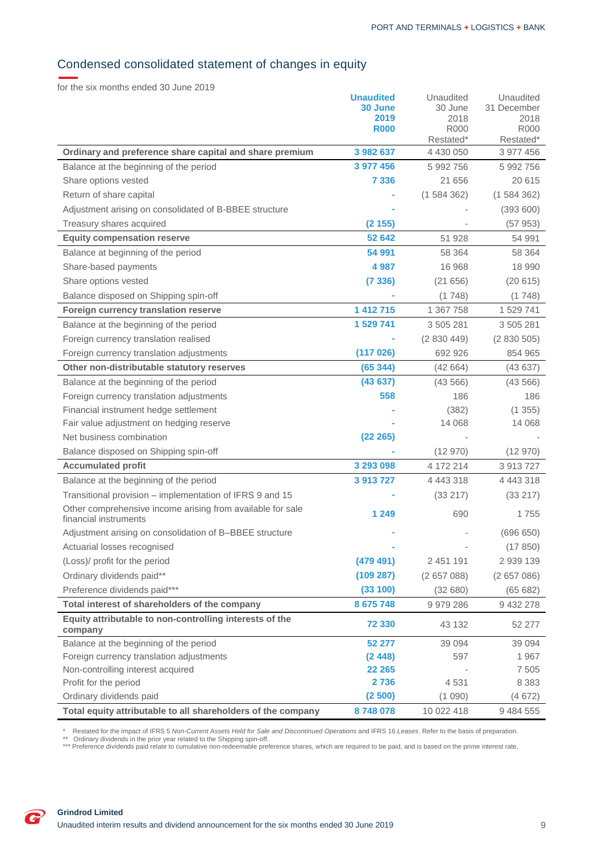# <span id="page-9-0"></span>Condensed consolidated statement of changes in equity

for the six months ended 30 June 2019

|                                                                                     | <b>Unaudited</b><br>30 June<br>2019<br><b>R000</b> | Unaudited<br>30 June<br>2018<br><b>R000</b><br>Restated* | Unaudited<br>31 December<br>2018<br><b>R000</b><br>Restated* |
|-------------------------------------------------------------------------------------|----------------------------------------------------|----------------------------------------------------------|--------------------------------------------------------------|
| Ordinary and preference share capital and share premium                             | 3 982 637                                          | 4 430 050                                                | 3 977 456                                                    |
| Balance at the beginning of the period                                              | 3 977 456                                          | 5 992 756                                                | 5 992 756                                                    |
| Share options vested                                                                | 7 3 3 6                                            | 21 656                                                   | 20 615                                                       |
| Return of share capital                                                             |                                                    | (1584362)                                                | (1584362)                                                    |
| Adjustment arising on consolidated of B-BBEE structure                              |                                                    |                                                          | (393600)                                                     |
| Treasury shares acquired                                                            | (2155)                                             |                                                          | (57953)                                                      |
| <b>Equity compensation reserve</b>                                                  | 52 642                                             | 51 928                                                   | 54 991                                                       |
| Balance at beginning of the period                                                  | 54 991                                             | 58 364                                                   | 58 364                                                       |
| Share-based payments                                                                | 4 9 8 7                                            | 16 968                                                   | 18 990                                                       |
| Share options vested                                                                | (7336)                                             | (21656)                                                  | (20615)                                                      |
| Balance disposed on Shipping spin-off                                               |                                                    | (1748)                                                   | (1748)                                                       |
| Foreign currency translation reserve                                                | 1 412 715                                          | 1 367 758                                                | 1 529 741                                                    |
| Balance at the beginning of the period                                              | 1 529 741                                          | 3 505 281                                                | 3 505 281                                                    |
| Foreign currency translation realised                                               |                                                    | (2830449)                                                | (2830505)                                                    |
| Foreign currency translation adjustments                                            | (117026)                                           | 692 926                                                  | 854 965                                                      |
| Other non-distributable statutory reserves                                          | (65344)                                            | (42664)                                                  | (43637)                                                      |
| Balance at the beginning of the period                                              | (43637)                                            | (43 566)                                                 | (43566)                                                      |
| Foreign currency translation adjustments                                            | 558                                                | 186                                                      | 186                                                          |
| Financial instrument hedge settlement                                               |                                                    | (382)                                                    | (1355)                                                       |
| Fair value adjustment on hedging reserve                                            |                                                    | 14 068                                                   | 14 0 68                                                      |
| Net business combination                                                            | (22 265)                                           |                                                          |                                                              |
| Balance disposed on Shipping spin-off                                               |                                                    | (12970)                                                  | (12970)                                                      |
| <b>Accumulated profit</b>                                                           | 3 293 098                                          | 4 172 214                                                | 3 913 727                                                    |
| Balance at the beginning of the period                                              | 3 913 727                                          | 4 4 4 3 3 1 8                                            | 4 4 4 3 3 1 8                                                |
| Transitional provision – implementation of IFRS 9 and 15                            |                                                    | (33 217)                                                 | (33 217)                                                     |
| Other comprehensive income arising from available for sale<br>financial instruments | 1 2 4 9                                            | 690                                                      | 1755                                                         |
| Adjustment arising on consolidation of B-BBEE structure                             |                                                    |                                                          | (696650)                                                     |
| Actuarial losses recognised                                                         |                                                    |                                                          | (17850)                                                      |
| (Loss)/ profit for the period                                                       | (479 491)                                          | 2 451 191                                                | 2 939 139                                                    |
| Ordinary dividends paid**                                                           | (109 287)                                          | (2657088)                                                | (2657086)                                                    |
| Preference dividends paid***                                                        | (33 100)                                           | (32680)                                                  | (65682)                                                      |
| Total interest of shareholders of the company                                       | 8 675 748                                          | 9 979 286                                                | 9 432 278                                                    |
| Equity attributable to non-controlling interests of the<br>company                  | 72 330                                             | 43 132                                                   | 52 277                                                       |
| Balance at the beginning of the period                                              | 52 277                                             | 39 094                                                   | 39 0 94                                                      |
| Foreign currency translation adjustments                                            | (2448)                                             | 597                                                      | 1967                                                         |
| Non-controlling interest acquired                                                   | 22 265                                             |                                                          | 7 5 0 5                                                      |
| Profit for the period                                                               | 2736                                               | 4531                                                     | 8 3 8 3                                                      |
| Ordinary dividends paid                                                             | (2500)                                             | (1090)                                                   | (4672)                                                       |
| Total equity attributable to all shareholders of the company                        | 8748078                                            | 10 022 418                                               | 9 484 555                                                    |

\* Restated for the impact of IFRS 5 *Non-Current Assets Held for Sale and Discontinued Operations* and IFRS 16 *Leases*. Refer to the basis of preparation.<br>\*\* Ordinary dividends in the prior year related to the Shipping sp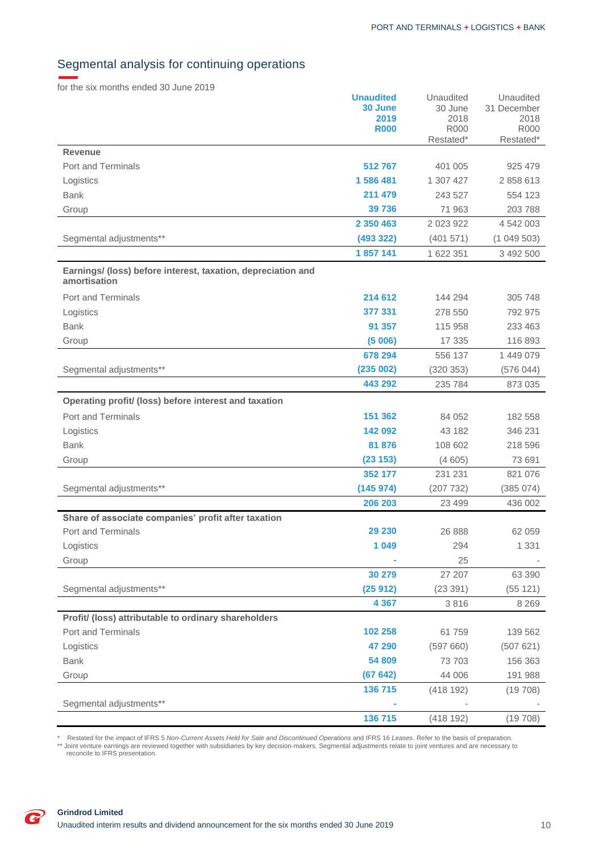# <span id="page-10-0"></span>Segmental analysis for continuing operations

for the six months ended 30 June 2019

|                                                                              | <b>Unaudited</b>    | Unaudited    | Unaudited           |
|------------------------------------------------------------------------------|---------------------|--------------|---------------------|
|                                                                              | 30 June             | 30 June      | 31 December         |
|                                                                              | 2019<br><b>R000</b> | 2018<br>R000 | 2018<br><b>R000</b> |
|                                                                              |                     | Restated*    | Restated*           |
| <b>Revenue</b>                                                               |                     |              |                     |
| <b>Port and Terminals</b>                                                    | 512767              | 401 005      | 925 479             |
| Logistics                                                                    | 1 586 481           | 1 307 427    | 2 858 613           |
| <b>Bank</b>                                                                  | 211 479             | 243 527      | 554 123             |
| Group                                                                        | 39736               | 71 963       | 203 788             |
|                                                                              | 2 350 463           | 2 023 922    | 4 542 003           |
| Segmental adjustments**                                                      | (493 322)           | (401571)     | (1049503)           |
|                                                                              | 1857141             | 1 622 351    | 3 492 500           |
| Earnings/ (loss) before interest, taxation, depreciation and<br>amortisation |                     |              |                     |
| Port and Terminals                                                           | 214 612             | 144 294      | 305 748             |
| Logistics                                                                    | 377 331             | 278 550      | 792 975             |
| <b>Bank</b>                                                                  | 91 357              | 115 958      | 233 463             |
| Group                                                                        | (5006)              | 17 335       | 116 893             |
|                                                                              | 678 294             | 556 137      | 1 449 079           |
| Segmental adjustments**                                                      | (235002)            | (320 353)    | (576044)            |
|                                                                              | 443 292             | 235 784      | 873 035             |
| Operating profit/ (loss) before interest and taxation                        |                     |              |                     |
| <b>Port and Terminals</b>                                                    | 151 362             | 84 052       | 182 558             |
| Logistics                                                                    | 142 092             | 43 182       | 346 231             |
| <b>Bank</b>                                                                  | 81 876              | 108 602      | 218 596             |
| Group                                                                        | (23 153)            | (4605)       | 73 691              |
|                                                                              | 352 177             | 231 231      | 821 076             |
| Segmental adjustments**                                                      | (145974)            | (207732)     | (385 074)           |
|                                                                              | 206 203             | 23 499       | 436 002             |
| Share of associate companies' profit after taxation                          |                     |              |                     |
| <b>Port and Terminals</b>                                                    | 29 230              | 26 888       | 62 059              |
| Logistics                                                                    | 1 0 4 9             | 294          | 1 3 3 1             |
| Group                                                                        |                     | 25           |                     |
|                                                                              | 30 279              | 27 207       | 63 390              |
| Segmental adjustments**                                                      | (25912)             | (23391)      | (55 121)            |
|                                                                              | 4 3 6 7             | 3816         | 8 2 6 9             |
| Profit/ (loss) attributable to ordinary shareholders                         |                     |              |                     |
| Port and Terminals                                                           | 102 258             | 61759        | 139 562             |
| Logistics                                                                    | 47 290              | (597660)     | (507621)            |
| <b>Bank</b>                                                                  | 54 809              | 73 703       | 156 363             |
| Group                                                                        | (67642)             | 44 006       | 191 988             |
|                                                                              | 136 715             | (418192)     | (19708)             |
| Segmental adjustments**                                                      |                     |              |                     |
|                                                                              | 136 715             | (418192)     | (19708)             |

\* Restated for the impact of IFRS 5 *Non-Current Assets Held for Sale and Discontinued Operations* and IFRS 16 *Leases.* Refer to the basis of preparation.<br>\*\* Joint venture earnings are reviewed together with subsidiaries

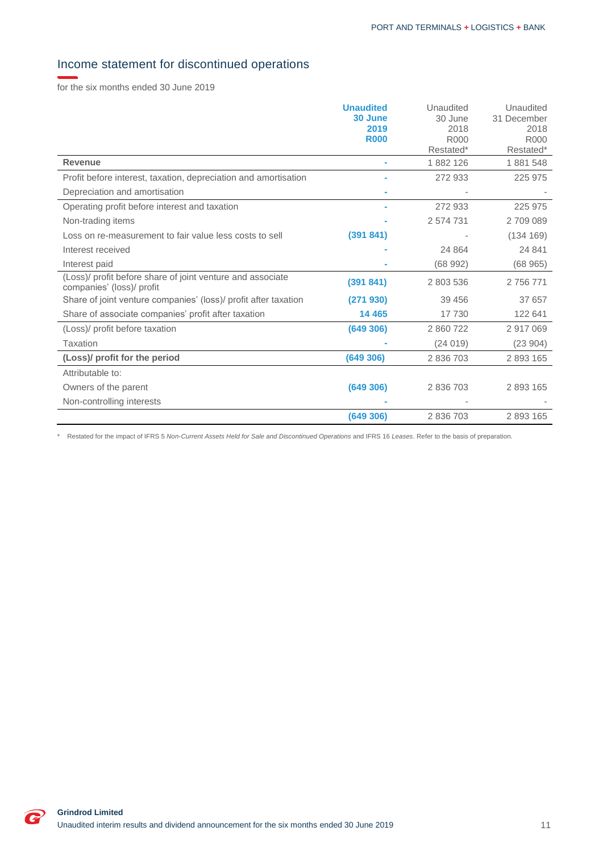# <span id="page-11-0"></span>Income statement for discontinued operations

for the six months ended 30 June 2019

|                                                                                         | <b>Unaudited</b> | Unaudited        | Unaudited   |
|-----------------------------------------------------------------------------------------|------------------|------------------|-------------|
|                                                                                         | 30 June          | 30 June          | 31 December |
|                                                                                         | 2019             | 2018             | 2018        |
|                                                                                         | <b>R000</b>      | R <sub>000</sub> | <b>R000</b> |
|                                                                                         |                  | Restated*        | Restated*   |
| <b>Revenue</b>                                                                          |                  | 1882126          | 1881548     |
| Profit before interest, taxation, depreciation and amortisation                         |                  | 272 933          | 225 975     |
| Depreciation and amortisation                                                           |                  |                  |             |
| Operating profit before interest and taxation                                           |                  | 272 933          | 225 975     |
| Non-trading items                                                                       |                  | 2 574 731        | 2709089     |
| Loss on re-measurement to fair value less costs to sell                                 | (391841)         |                  | (134 169)   |
| Interest received                                                                       |                  | 24 8 64          | 24 841      |
| Interest paid                                                                           |                  | (68992)          | (68965)     |
| (Loss)/ profit before share of joint venture and associate<br>companies' (loss)/ profit | (391841)         | 2 803 536        | 2 756 771   |
| Share of joint venture companies' (loss)/ profit after taxation                         | (271930)         | 39 45 6          | 37 657      |
| Share of associate companies' profit after taxation                                     | 14 4 65          | 17 730           | 122 641     |
| (Loss)/ profit before taxation                                                          | (649306)         | 2 860 722        | 2917069     |
| Taxation                                                                                |                  | (24019)          | (23904)     |
| (Loss)/ profit for the period                                                           | (649306)         | 2 836 703        | 2 893 165   |
| Attributable to:                                                                        |                  |                  |             |
| Owners of the parent                                                                    | (649 306)        | 2 836 703        | 2 893 165   |
| Non-controlling interests                                                               |                  |                  |             |
|                                                                                         | (649306)         | 2 836 703        | 2893165     |

\* Restated for the impact of IFRS 5 *Non-Current Assets Held for Sale and Discontinued Operations* and IFRS 16 *Leases*. Refer to the basis of preparation.

 $\overline{\bullet}$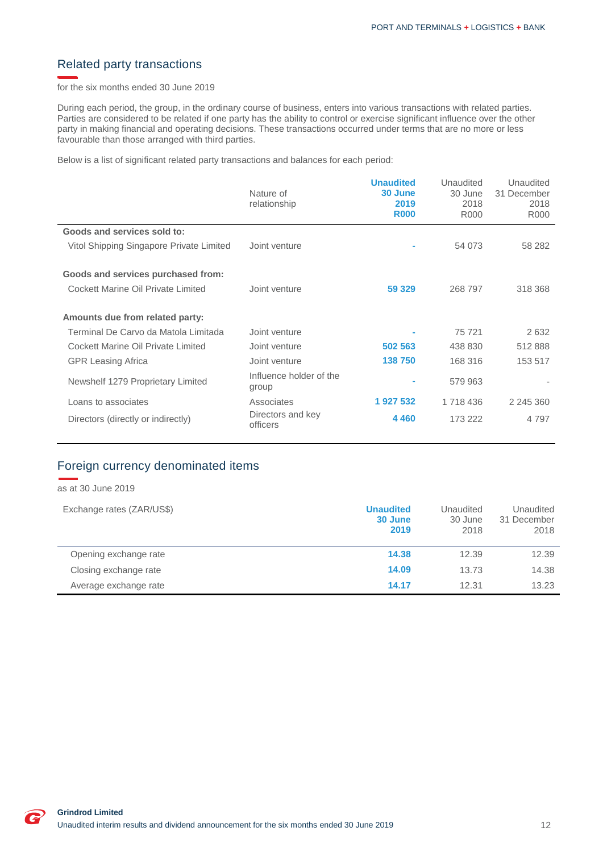## <span id="page-12-0"></span>Related party transactions

for the six months ended 30 June 2019

During each period, the group, in the ordinary course of business, enters into various transactions with related parties. Parties are considered to be related if one party has the ability to control or exercise significant influence over the other party in making financial and operating decisions. These transactions occurred under terms that are no more or less favourable than those arranged with third parties.

Below is a list of significant related party transactions and balances for each period:

|                                          | Nature of<br>relationship        | <b>Unaudited</b><br>30 June<br>2019<br><b>R000</b> | Unaudited<br>30 June<br>2018<br>R000 | Unaudited<br>31 December<br>2018<br>R000 |
|------------------------------------------|----------------------------------|----------------------------------------------------|--------------------------------------|------------------------------------------|
| Goods and services sold to:              |                                  |                                                    |                                      |                                          |
| Vitol Shipping Singapore Private Limited | Joint venture                    |                                                    | 54 073                               | 58 282                                   |
| Goods and services purchased from:       |                                  |                                                    |                                      |                                          |
| Cockett Marine Oil Private Limited       | Joint venture                    | 59 329                                             | 268 797                              | 318 368                                  |
| Amounts due from related party:          |                                  |                                                    |                                      |                                          |
| Terminal De Carvo da Matola Limitada     | Joint venture                    |                                                    | 75 721                               | 2632                                     |
| Cockett Marine Oil Private Limited       | Joint venture                    | 502 563                                            | 438 830                              | 512888                                   |
| <b>GPR Leasing Africa</b>                | Joint venture                    | 138750                                             | 168 316                              | 153 517                                  |
| Newshelf 1279 Proprietary Limited        | Influence holder of the<br>group |                                                    | 579 963                              |                                          |
| Loans to associates                      | Associates                       | 1 927 532                                          | 1 718 436                            | 2 245 360                                |
| Directors (directly or indirectly)       | Directors and key<br>officers    | 4 4 6 0                                            | 173 222                              | 4 7 9 7                                  |

# <span id="page-12-1"></span>Foreign currency denominated items

as at 30 June 2019

| Exchange rates (ZAR/US\$) | <b>Unaudited</b><br>30 June<br>2019 | Unaudited<br>30 June<br>2018 | Unaudited<br>31 December<br>2018 |
|---------------------------|-------------------------------------|------------------------------|----------------------------------|
| Opening exchange rate     | 14.38                               | 12.39                        | 12.39                            |
| Closing exchange rate     | 14.09                               | 13.73                        | 14.38                            |
| Average exchange rate     | 14.17                               | 12.31                        | 13.23                            |

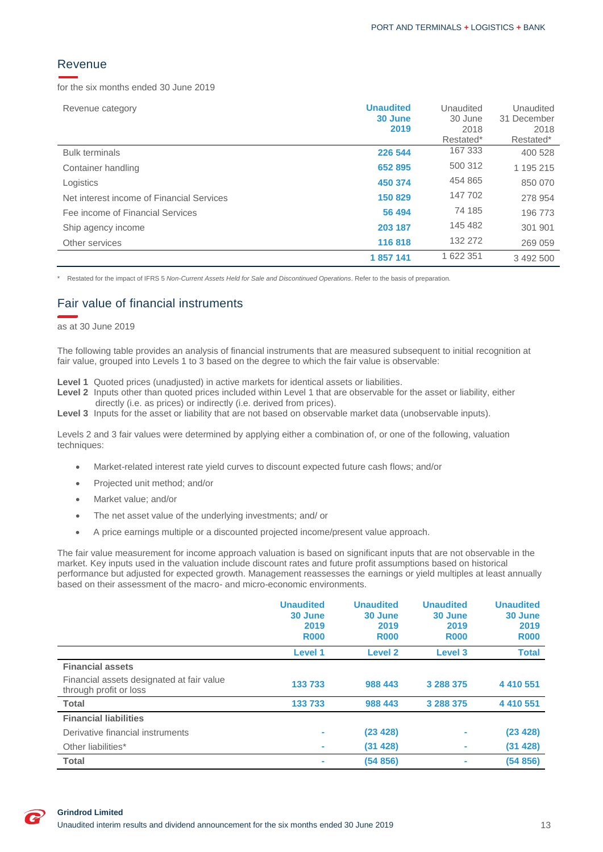### <span id="page-13-0"></span>Revenue

for the six months ended 30 June 2019

| Revenue category                          | <b>Unaudited</b><br>30 June<br>2019 | Unaudited<br>30 June<br>2018<br>Restated* | Unaudited<br>31 December<br>2018<br>Restated* |
|-------------------------------------------|-------------------------------------|-------------------------------------------|-----------------------------------------------|
| <b>Bulk terminals</b>                     | 226 544                             | 167 333                                   | 400 528                                       |
| Container handling                        | 652 895                             | 500 312                                   | 1 195 215                                     |
| Logistics                                 | 450 374                             | 454 865                                   | 850 070                                       |
| Net interest income of Financial Services | 150 829                             | 147 702                                   | 278 954                                       |
| Fee income of Financial Services          | 56 494                              | 74 185                                    | 196 773                                       |
| Ship agency income                        | 203 187                             | 145 482                                   | 301 901                                       |
| Other services                            | 116818                              | 132 272                                   | 269 059                                       |
|                                           | 1857141                             | 1 622 351                                 | 3 492 500                                     |

\* Restated for the impact of IFRS 5 *Non-Current Assets Held for Sale and Discontinued Operations*. Refer to the basis of preparation.

### <span id="page-13-1"></span>Fair value of financial instruments

#### as at 30 June 2019

The following table provides an analysis of financial instruments that are measured subsequent to initial recognition at fair value, grouped into Levels 1 to 3 based on the degree to which the fair value is observable:

**Level 1** Quoted prices (unadjusted) in active markets for identical assets or liabilities.

- Level 2 Inputs other than quoted prices included within Level 1 that are observable for the asset or liability, either directly (i.e. as prices) or indirectly (i.e. derived from prices).
- Level 3 Inputs for the asset or liability that are not based on observable market data (unobservable inputs).

Levels 2 and 3 fair values were determined by applying either a combination of, or one of the following, valuation techniques:

- Market-related interest rate yield curves to discount expected future cash flows; and/or
- Projected unit method; and/or
- Market value; and/or
- The net asset value of the underlying investments; and/ or
- A price earnings multiple or a discounted projected income/present value approach.

The fair value measurement for income approach valuation is based on significant inputs that are not observable in the market. Key inputs used in the valuation include discount rates and future profit assumptions based on historical performance but adjusted for expected growth. Management reassesses the earnings or yield multiples at least annually based on their assessment of the macro- and micro-economic environments.

|                                                                     | <b>Unaudited</b><br>30 June<br>2019<br><b>R000</b> | <b>Unaudited</b><br>30 June<br>2019<br><b>R000</b> | <b>Unaudited</b><br>30 June<br>2019<br><b>R000</b> | <b>Unaudited</b><br>30 June<br>2019<br><b>R000</b> |
|---------------------------------------------------------------------|----------------------------------------------------|----------------------------------------------------|----------------------------------------------------|----------------------------------------------------|
|                                                                     | Level 1                                            | Level <sub>2</sub>                                 | <b>Level 3</b>                                     | <b>Total</b>                                       |
| <b>Financial assets</b>                                             |                                                    |                                                    |                                                    |                                                    |
| Financial assets designated at fair value<br>through profit or loss | 133 733                                            | 988 443                                            | 3 288 375                                          | 4 410 551                                          |
| <b>Total</b>                                                        | 133 733                                            | 988 443                                            | 3 288 375                                          | 4 410 551                                          |
| <b>Financial liabilities</b>                                        |                                                    |                                                    |                                                    |                                                    |
| Derivative financial instruments                                    | ۰                                                  | (23 428)                                           | ۰                                                  | (23 428)                                           |
| Other liabilities*                                                  | ×                                                  | (31 428)                                           | ۰                                                  | (31 428)                                           |
| <b>Total</b>                                                        |                                                    | (54856)                                            | ٠                                                  | (54 856)                                           |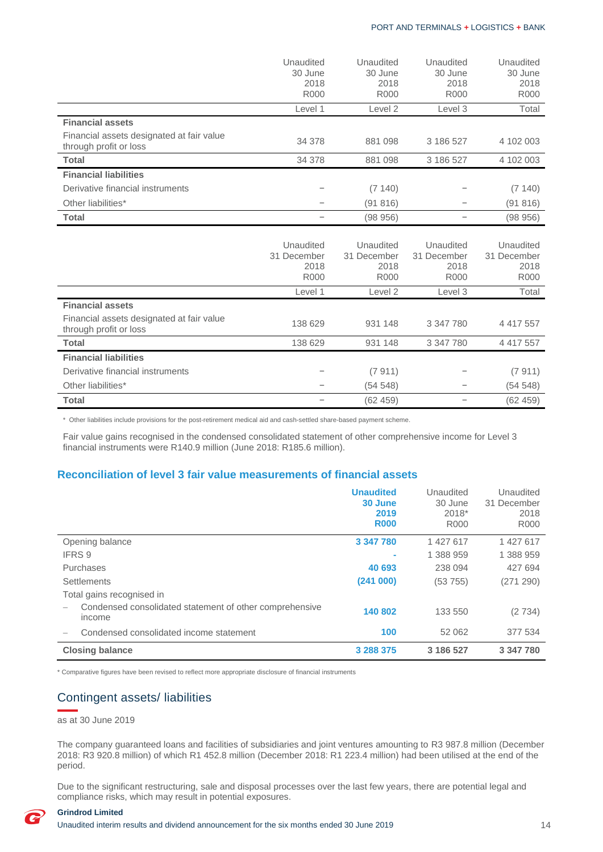|                                                                     | Unaudited<br>30 June<br>2018<br><b>R000</b>     | Unaudited<br>30 June<br>2018<br><b>R000</b>          | Unaudited<br>30 June<br>2018<br><b>R000</b>     | Unaudited<br>30 June<br>2018<br><b>R000</b>     |
|---------------------------------------------------------------------|-------------------------------------------------|------------------------------------------------------|-------------------------------------------------|-------------------------------------------------|
|                                                                     | Level 1                                         | Level <sub>2</sub>                                   | Level 3                                         | Total                                           |
| <b>Financial assets</b>                                             |                                                 |                                                      |                                                 |                                                 |
| Financial assets designated at fair value<br>through profit or loss | 34 378                                          | 881 098                                              | 3 186 527                                       | 4 102 003                                       |
| Total                                                               | 34 378                                          | 881 098                                              | 3 186 527                                       | 4 102 003                                       |
| <b>Financial liabilities</b>                                        |                                                 |                                                      |                                                 |                                                 |
| Derivative financial instruments                                    |                                                 | (7140)                                               |                                                 | (7140)                                          |
| Other liabilities*                                                  | $\qquad \qquad -$                               | (91816)                                              | $\qquad \qquad -$                               | (91816)                                         |
| <b>Total</b>                                                        |                                                 | (98956)                                              | $\qquad \qquad -$                               | (98956)                                         |
|                                                                     | Unaudited<br>31 December<br>2018<br><b>R000</b> | Unaudited<br>31 December<br>2018<br>R <sub>000</sub> | Unaudited<br>31 December<br>2018<br><b>R000</b> | Unaudited<br>31 December<br>2018<br><b>R000</b> |
|                                                                     | Level 1                                         | Level <sub>2</sub>                                   | Level 3                                         | Total                                           |
| <b>Financial assets</b>                                             |                                                 |                                                      |                                                 |                                                 |
| Financial assets designated at fair value<br>through profit or loss | 138 629                                         | 931 148                                              | 3 347 780                                       | 4 4 1 7 5 5 7                                   |
| <b>Total</b>                                                        | 138 629                                         | 931 148                                              | 3 347 780                                       | 4 417 557                                       |
| <b>Financial liabilities</b>                                        |                                                 |                                                      |                                                 |                                                 |
| Derivative financial instruments                                    |                                                 | (7911)                                               |                                                 | (7911)                                          |
| Other liabilities*                                                  | -                                               | (54548)                                              | $\qquad \qquad -$                               | (54548)                                         |
| <b>Total</b>                                                        | $\qquad \qquad -$                               | (62459)                                              | $\overline{\phantom{0}}$                        | (62, 459)                                       |

\* Other liabilities include provisions for the post-retirement medical aid and cash-settled share-based payment scheme.

 Fair value gains recognised in the condensed consolidated statement of other comprehensive income for Level 3 financial instruments were R140.9 million (June 2018: R185.6 million).

### **Reconciliation of level 3 fair value measurements of financial assets**

|                                                                   | <b>Unaudited</b><br>30 June<br>2019<br><b>R000</b> | Unaudited<br>30 June<br>2018*<br>R <sub>000</sub> | Unaudited<br>31 December<br>2018<br><b>R000</b> |
|-------------------------------------------------------------------|----------------------------------------------------|---------------------------------------------------|-------------------------------------------------|
| Opening balance                                                   | 3 347 780                                          | 1 427 617                                         | 1 427 617                                       |
| IFRS 9                                                            |                                                    | 1 388 959                                         | 1 388 959                                       |
| Purchases                                                         | 40 693                                             | 238 094                                           | 427 694                                         |
| Settlements                                                       | (241000)                                           | (53755)                                           | (271 290)                                       |
| Total gains recognised in                                         |                                                    |                                                   |                                                 |
| Condensed consolidated statement of other comprehensive<br>income | 140 802                                            | 133 550                                           | (2734)                                          |
| Condensed consolidated income statement                           | 100                                                | 52 062                                            | 377 534                                         |
| <b>Closing balance</b>                                            | 3 288 375                                          | 3 186 527                                         | 3 347 780                                       |

\* Comparative figures have been revised to reflect more appropriate disclosure of financial instruments

## <span id="page-14-0"></span>Contingent assets/ liabilities

as at 30 June 2019

The company guaranteed loans and facilities of subsidiaries and joint ventures amounting to R3 987.8 million (December 2018: R3 920.8 million) of which R1 452.8 million (December 2018: R1 223.4 million) had been utilised at the end of the period.

Due to the significant restructuring, sale and disposal processes over the last few years, there are potential legal and compliance risks, which may result in potential exposures.

# **Grindrod Limited**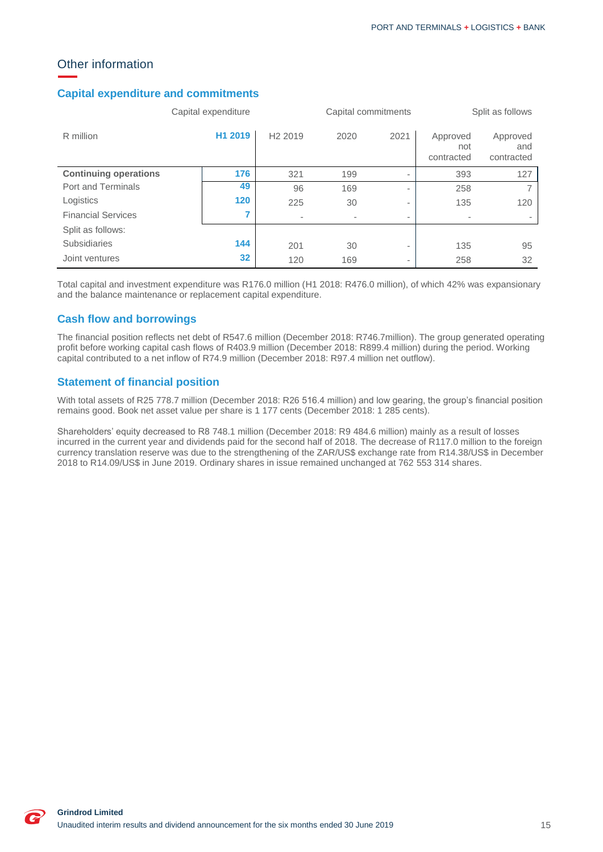# <span id="page-15-0"></span>Other information

### **Capital expenditure and commitments**

|                              | Capital expenditure |                     |      | Capital commitments      |                               | Split as follows              |
|------------------------------|---------------------|---------------------|------|--------------------------|-------------------------------|-------------------------------|
| R million                    | H1 2019             | H <sub>2</sub> 2019 | 2020 | 2021                     | Approved<br>not<br>contracted | Approved<br>and<br>contracted |
| <b>Continuing operations</b> | 176                 | 321                 | 199  | $\overline{\phantom{a}}$ | 393                           | 127                           |
| Port and Terminals           | 49                  | 96                  | 169  | $\overline{\phantom{a}}$ | 258                           |                               |
| Logistics                    | 120                 | 225                 | 30   | $\overline{\phantom{a}}$ | 135                           | 120                           |
| <b>Financial Services</b>    |                     |                     | -    | $\overline{\phantom{a}}$ |                               |                               |
| Split as follows:            |                     |                     |      |                          |                               |                               |
| <b>Subsidiaries</b>          | 144                 | 201                 | 30   | $\overline{\phantom{a}}$ | 135                           | 95                            |
| Joint ventures               | 32                  | 120                 | 169  | $\overline{\phantom{a}}$ | 258                           | 32                            |

Total capital and investment expenditure was R176.0 million (H1 2018: R476.0 million), of which 42% was expansionary and the balance maintenance or replacement capital expenditure.

### **Cash flow and borrowings**

The financial position reflects net debt of R547.6 million (December 2018: R746.7million). The group generated operating profit before working capital cash flows of R403.9 million (December 2018: R899.4 million) during the period. Working capital contributed to a net inflow of R74.9 million (December 2018: R97.4 million net outflow).

### **Statement of financial position**

With total assets of R25 778.7 million (December 2018: R26 516.4 million) and low gearing, the group's financial position remains good. Book net asset value per share is 1 177 cents (December 2018: 1 285 cents).

Shareholders' equity decreased to R8 748.1 million (December 2018: R9 484.6 million) mainly as a result of losses incurred in the current year and dividends paid for the second half of 2018. The decrease of R117.0 million to the foreign currency translation reserve was due to the strengthening of the ZAR/US\$ exchange rate from R14.38/US\$ in December 2018 to R14.09/US\$ in June 2019. Ordinary shares in issue remained unchanged at 762 553 314 shares.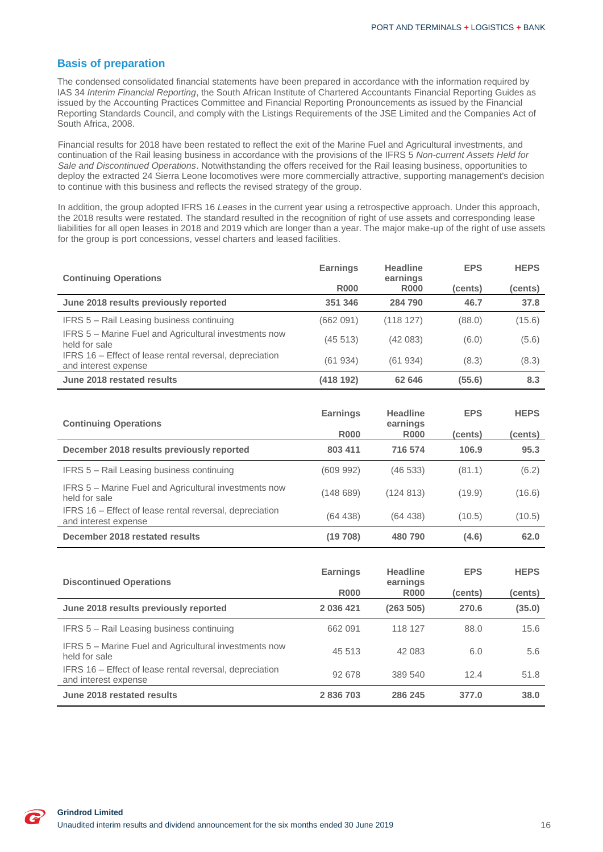### **Basis of preparation**

The condensed consolidated financial statements have been prepared in accordance with the information required by IAS 34 *Interim Financial Reporting*, the South African Institute of Chartered Accountants Financial Reporting Guides as issued by the Accounting Practices Committee and Financial Reporting Pronouncements as issued by the Financial Reporting Standards Council, and comply with the Listings Requirements of the JSE Limited and the Companies Act of South Africa, 2008.

Financial results for 2018 have been restated to reflect the exit of the Marine Fuel and Agricultural investments, and continuation of the Rail leasing business in accordance with the provisions of the IFRS 5 *Non-current Assets Held for Sale and Discontinued Operations*. Notwithstanding the offers received for the Rail leasing business, opportunities to deploy the extracted 24 Sierra Leone locomotives were more commercially attractive, supporting management's decision to continue with this business and reflects the revised strategy of the group.

In addition, the group adopted IFRS 16 *Leases* in the current year using a retrospective approach. Under this approach, the 2018 results were restated. The standard resulted in the recognition of right of use assets and corresponding lease liabilities for all open leases in 2018 and 2019 which are longer than a year. The major make-up of the right of use assets for the group is port concessions, vessel charters and leased facilities.

| <b>Continuing Operations</b>                                                    | <b>Earnings</b>        | <b>Headline</b><br>earnings | <b>EPS</b> | <b>HEPS</b>        |
|---------------------------------------------------------------------------------|------------------------|-----------------------------|------------|--------------------|
|                                                                                 | <b>R000</b>            | <b>R000</b>                 | (cents)    | (cents)            |
| June 2018 results previously reported                                           | 351 346                | 284790                      | 46.7       | 37.8               |
| IFRS 5 - Rail Leasing business continuing                                       | (662 091)              | (118127)                    | (88.0)     | (15.6)             |
| <b>IFRS 5 – Marine Fuel and Agricultural investments now</b><br>held for sale   | (45513)                | (42083)                     | (6.0)      | (5.6)              |
| IFRS 16 – Effect of lease rental reversal, depreciation<br>and interest expense | (61934)                | (61934)                     | (8.3)      | (8.3)              |
| June 2018 restated results                                                      | (418 192)              | 62 646                      | (55.6)     | 8.3                |
|                                                                                 |                        |                             |            |                    |
|                                                                                 | <b>Earnings</b>        | <b>Headline</b>             | <b>EPS</b> | <b>HEPS</b>        |
| <b>Continuing Operations</b>                                                    | <b>R000</b>            | earnings<br><b>R000</b>     | (cents)    | (cents)            |
| December 2018 results previously reported                                       | 803 411                | 716 574                     | 106.9      | 95.3               |
| IFRS 5 – Rail Leasing business continuing                                       | (609 992)              | (46533)                     | (81.1)     | (6.2)              |
| <b>IFRS 5 – Marine Fuel and Agricultural investments now</b>                    | $(4.40 \, \text{C}00)$ | (12101)                     | (400)      | (4C <sub>C</sub> ) |

| December 2018 restated results                                                  | (19708)   | 480 790   | (4.6)  | 62.0   |
|---------------------------------------------------------------------------------|-----------|-----------|--------|--------|
| IFRS 16 – Effect of lease rental reversal, depreciation<br>and interest expense | (64, 438) | (64, 438) | (10.5) | (10.5) |
| IFRS 5 – Marine Fuel and Agricultural Investments now<br>held for sale          | (148689)  | (124813)  | (19.9) | (16.6) |

| <b>Discontinued Operations</b>                                                  | <b>Earnings</b> | <b>Headline</b><br>earnings | <b>EPS</b> | <b>HEPS</b> |
|---------------------------------------------------------------------------------|-----------------|-----------------------------|------------|-------------|
|                                                                                 | <b>R000</b>     | <b>R000</b>                 | (cents)    | (cents)     |
| June 2018 results previously reported                                           | 2 036 421       | (263 505)                   | 270.6      | (35.0)      |
| IFRS 5 - Rail Leasing business continuing                                       | 662 091         | 118 127                     | 88.0       | 15.6        |
| <b>IFRS 5 – Marine Fuel and Agricultural investments now</b><br>held for sale   | 45 513          | 42 083                      | 6.0        | 5.6         |
| IFRS 16 – Effect of lease rental reversal, depreciation<br>and interest expense | 92 678          | 389 540                     | 12.4       | 51.8        |
| June 2018 restated results                                                      | 2836703         | 286 245                     | 377.0      | 38.0        |

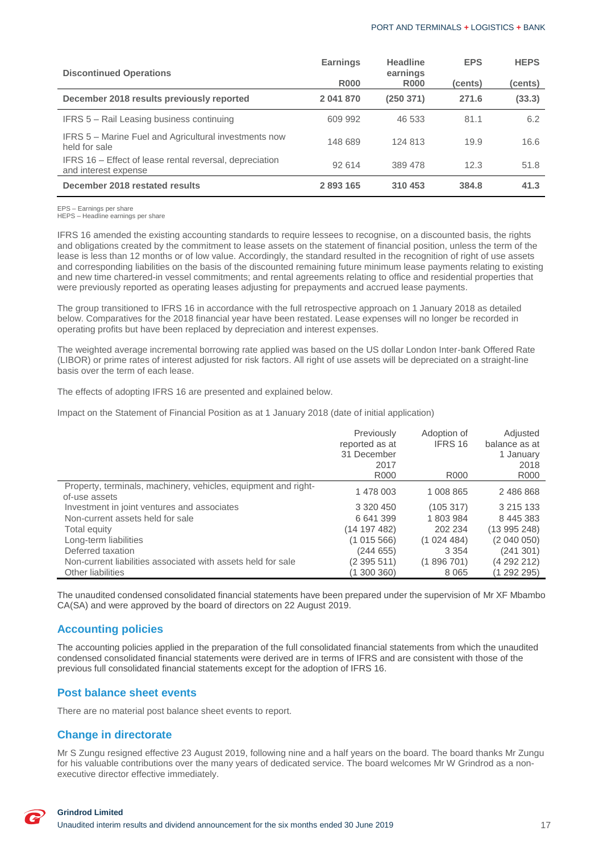| <b>Discontinued Operations</b>                                                  | <b>Earnings</b> | Headline<br>earnings | <b>EPS</b> | <b>HEPS</b> |
|---------------------------------------------------------------------------------|-----------------|----------------------|------------|-------------|
|                                                                                 | <b>R000</b>     | <b>R000</b>          | (cents)    | (cents)     |
| December 2018 results previously reported                                       | 2 041 870       | (250371)             | 271.6      | (33.3)      |
| IFRS 5 - Rail Leasing business continuing                                       | 609 992         | 46 533               | 81.1       | 6.2         |
| IFRS 5 – Marine Fuel and Agricultural investments now<br>held for sale          | 148 689         | 124 813              | 19.9       | 16.6        |
| IFRS 16 – Effect of lease rental reversal, depreciation<br>and interest expense | 92 614          | 389 478              | 12.3       | 51.8        |
| December 2018 restated results                                                  | 2893165         | 310 453              | 384.8      | 41.3        |

EPS – Earnings per share

HEPS – Headline earnings per share

IFRS 16 amended the existing accounting standards to require lessees to recognise, on a discounted basis, the rights and obligations created by the commitment to lease assets on the statement of financial position, unless the term of the lease is less than 12 months or of low value. Accordingly, the standard resulted in the recognition of right of use assets and corresponding liabilities on the basis of the discounted remaining future minimum lease payments relating to existing and new time chartered-in vessel commitments; and rental agreements relating to office and residential properties that were previously reported as operating leases adjusting for prepayments and accrued lease payments.

The group transitioned to IFRS 16 in accordance with the full retrospective approach on 1 January 2018 as detailed below. Comparatives for the 2018 financial year have been restated. Lease expenses will no longer be recorded in operating profits but have been replaced by depreciation and interest expenses.

The weighted average incremental borrowing rate applied was based on the US dollar London Inter-bank Offered Rate (LIBOR) or prime rates of interest adjusted for risk factors. All right of use assets will be depreciated on a straight-line basis over the term of each lease.

The effects of adopting IFRS 16 are presented and explained below.

Impact on the Statement of Financial Position as at 1 January 2018 (date of initial application)

|                                                                                 | Previously<br>reported as at<br>31 December<br>2017<br>R <sub>000</sub> | Adoption of<br>IFRS 16<br>R <sub>000</sub> | Adjusted<br>balance as at<br>1 January<br>2018<br>R <sub>000</sub> |
|---------------------------------------------------------------------------------|-------------------------------------------------------------------------|--------------------------------------------|--------------------------------------------------------------------|
| Property, terminals, machinery, vehicles, equipment and right-<br>of-use assets | 1 478 003                                                               | 1 008 865                                  | 2 486 868                                                          |
| Investment in joint ventures and associates                                     | 3 3 2 0 4 5 0                                                           | (105317)                                   | 3 215 133                                                          |
| Non-current assets held for sale                                                | 6641399                                                                 | 1 803 984                                  | 8 445 383                                                          |
| Total equity                                                                    | (14197482)                                                              | 202 234                                    | (13995248)                                                         |
| Long-term liabilities                                                           | (1015566)                                                               | (1024484)                                  | (2 040 050)                                                        |
| Deferred taxation                                                               | (244 655)                                                               | 3 3 5 4                                    | (241301)                                                           |
| Non-current liabilities associated with assets held for sale                    | (2395511)                                                               | (1896701)                                  | (4 292 212)                                                        |
| Other liabilities                                                               | (1 300 360)                                                             | 8 0 6 5                                    | (1 292 295)                                                        |

The unaudited condensed consolidated financial statements have been prepared under the supervision of Mr XF Mbambo CA(SA) and were approved by the board of directors on 22 August 2019.

### **Accounting policies**

The accounting policies applied in the preparation of the full consolidated financial statements from which the unaudited condensed consolidated financial statements were derived are in terms of IFRS and are consistent with those of the previous full consolidated financial statements except for the adoption of IFRS 16.

### **Post balance sheet events**

There are no material post balance sheet events to report.

### **Change in directorate**

Mr S Zungu resigned effective 23 August 2019, following nine and a half years on the board. The board thanks Mr Zungu for his valuable contributions over the many years of dedicated service. The board welcomes Mr W Grindrod as a nonexecutive director effective immediately.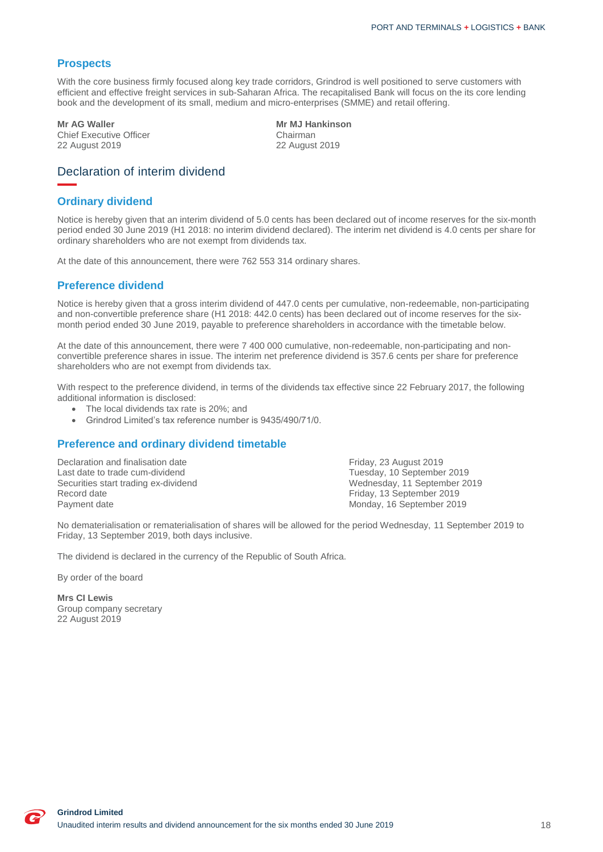### **Prospects**

With the core business firmly focused along key trade corridors, Grindrod is well positioned to serve customers with efficient and effective freight services in sub-Saharan Africa. The recapitalised Bank will focus on the its core lending book and the development of its small, medium and micro-enterprises (SMME) and retail offering.

Chief Executive Officer<br>
22 August 2019<br>
22 August 2019

**Mr AG Waller Mr MJ Hankinson** 22 August 2019 22 August 2019

## <span id="page-18-0"></span>Declaration of interim dividend

#### **Ordinary dividend**

Notice is hereby given that an interim dividend of 5.0 cents has been declared out of income reserves for the six-month period ended 30 June 2019 (H1 2018: no interim dividend declared). The interim net dividend is 4.0 cents per share for ordinary shareholders who are not exempt from dividends tax.

At the date of this announcement, there were 762 553 314 ordinary shares.

#### **Preference dividend**

Notice is hereby given that a gross interim dividend of 447.0 cents per cumulative, non-redeemable, non-participating and non-convertible preference share (H1 2018: 442.0 cents) has been declared out of income reserves for the sixmonth period ended 30 June 2019, payable to preference shareholders in accordance with the timetable below.

At the date of this announcement, there were 7 400 000 cumulative, non-redeemable, non-participating and nonconvertible preference shares in issue. The interim net preference dividend is 357.6 cents per share for preference shareholders who are not exempt from dividends tax.

With respect to the preference dividend, in terms of the dividends tax effective since 22 February 2017, the following additional information is disclosed:

- The local dividends tax rate is 20%; and
- Grindrod Limited's tax reference number is 9435/490/71/0.

### **Preference and ordinary dividend timetable**

Declaration and finalisation date<br>
Last date to trade cum-dividend<br>
Last date to trade cum-dividend<br>
September Last date to trade cum-dividend Tuesday, 10 September 2019 Record date Friday, 13 September 2019<br>
Payment date Monday, 16 September 2019

Wednesday, 11 September 2019 Monday, 16 September 2019

No dematerialisation or rematerialisation of shares will be allowed for the period Wednesday, 11 September 2019 to Friday, 13 September 2019, both days inclusive.

The dividend is declared in the currency of the Republic of South Africa.

By order of the board

**Mrs CI Lewis** Group company secretary 22 August 2019